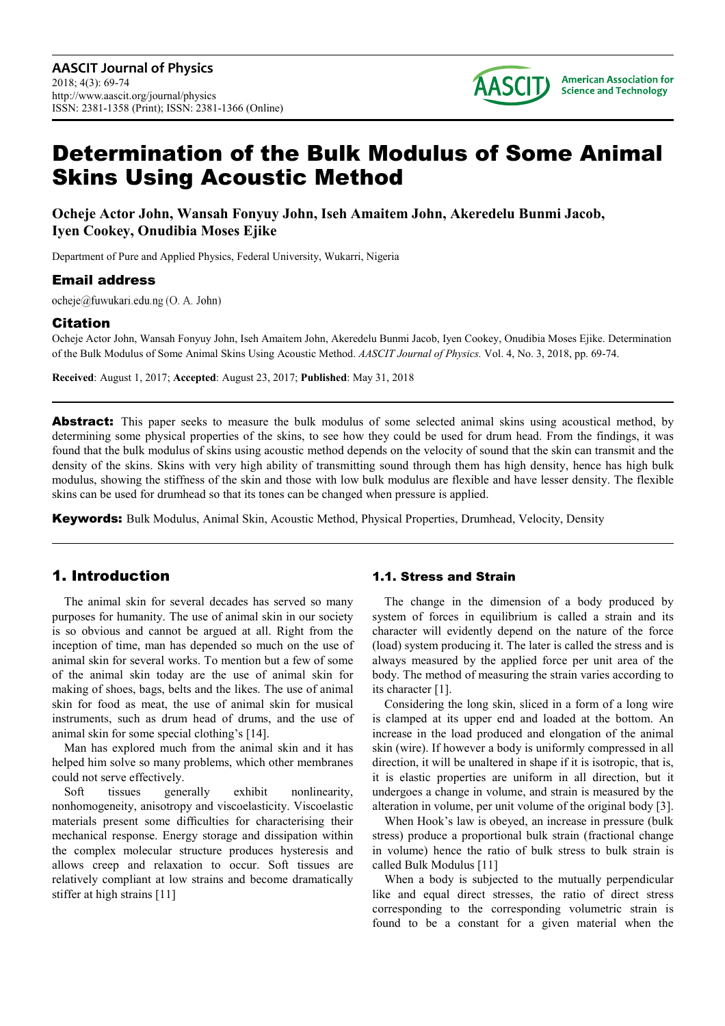

# Determination of the Bulk Modulus of Some Animal Skins Using Acoustic Method

**Ocheje Actor John, Wansah Fonyuy John, Iseh Amaitem John, Akeredelu Bunmi Jacob, Iyen Cookey, Onudibia Moses Ejike** 

Department of Pure and Applied Physics, Federal University, Wukarri, Nigeria

### Email address

ocheje@fuwukari.edu.ng (O. A. John)

### Citation

Ocheje Actor John, Wansah Fonyuy John, Iseh Amaitem John, Akeredelu Bunmi Jacob, Iyen Cookey, Onudibia Moses Ejike. Determination of the Bulk Modulus of Some Animal Skins Using Acoustic Method. *AASCIT Journal of Physics.* Vol. 4, No. 3, 2018, pp. 69-74.

**Received**: August 1, 2017; **Accepted**: August 23, 2017; **Published**: May 31, 2018

Abstract: This paper seeks to measure the bulk modulus of some selected animal skins using acoustical method, by determining some physical properties of the skins, to see how they could be used for drum head. From the findings, it was found that the bulk modulus of skins using acoustic method depends on the velocity of sound that the skin can transmit and the density of the skins. Skins with very high ability of transmitting sound through them has high density, hence has high bulk modulus, showing the stiffness of the skin and those with low bulk modulus are flexible and have lesser density. The flexible skins can be used for drumhead so that its tones can be changed when pressure is applied.

Keywords: Bulk Modulus, Animal Skin, Acoustic Method, Physical Properties, Drumhead, Velocity, Density

# 1. Introduction

The animal skin for several decades has served so many purposes for humanity. The use of animal skin in our society is so obvious and cannot be argued at all. Right from the inception of time, man has depended so much on the use of animal skin for several works. To mention but a few of some of the animal skin today are the use of animal skin for making of shoes, bags, belts and the likes. The use of animal skin for food as meat, the use of animal skin for musical instruments, such as drum head of drums, and the use of animal skin for some special clothing's [14].

Man has explored much from the animal skin and it has helped him solve so many problems, which other membranes could not serve effectively.

Soft tissues generally exhibit nonlinearity, nonhomogeneity, anisotropy and viscoelasticity. Viscoelastic materials present some difficulties for characterising their mechanical response. Energy storage and dissipation within the complex molecular structure produces hysteresis and allows creep and relaxation to occur. Soft tissues are relatively compliant at low strains and become dramatically stiffer at high strains [11]

### 1.1. Stress and Strain

The change in the dimension of a body produced by system of forces in equilibrium is called a strain and its character will evidently depend on the nature of the force (load) system producing it. The later is called the stress and is always measured by the applied force per unit area of the body. The method of measuring the strain varies according to its character [1].

Considering the long skin, sliced in a form of a long wire is clamped at its upper end and loaded at the bottom. An increase in the load produced and elongation of the animal skin (wire). If however a body is uniformly compressed in all direction, it will be unaltered in shape if it is isotropic, that is, it is elastic properties are uniform in all direction, but it undergoes a change in volume, and strain is measured by the alteration in volume, per unit volume of the original body [3].

When Hook's law is obeyed, an increase in pressure (bulk stress) produce a proportional bulk strain (fractional change in volume) hence the ratio of bulk stress to bulk strain is called Bulk Modulus [11]

When a body is subjected to the mutually perpendicular like and equal direct stresses, the ratio of direct stress corresponding to the corresponding volumetric strain is found to be a constant for a given material when the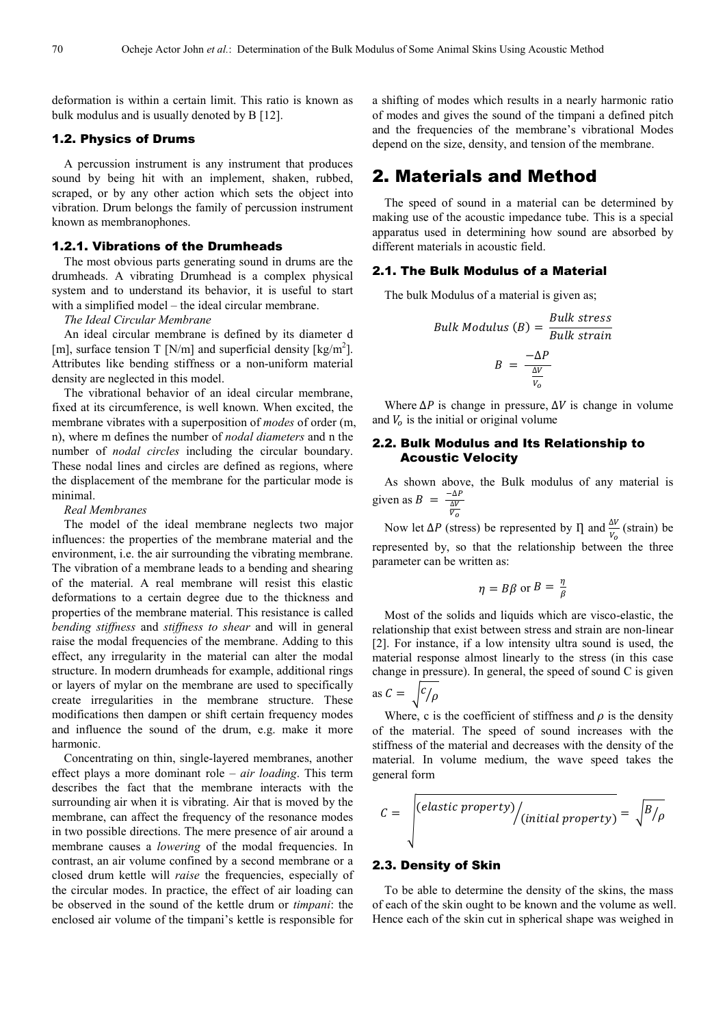deformation is within a certain limit. This ratio is known as bulk modulus and is usually denoted by B [12].

### 1.2. Physics of Drums

A percussion instrument is any instrument that produces sound by being hit with an implement, shaken, rubbed, scraped, or by any other action which sets the object into vibration. Drum belongs the family of percussion instrument known as membranophones.

### 1.2.1. Vibrations of the Drumheads

The most obvious parts generating sound in drums are the drumheads. A vibrating Drumhead is a complex physical system and to understand its behavior, it is useful to start with a simplified model – the ideal circular membrane.

*The Ideal Circular Membrane* 

An ideal circular membrane is defined by its diameter d [m], surface tension T [N/m] and superficial density  $\text{[kg/m}^2\text{]}$ . Attributes like bending stiffness or a non-uniform material density are neglected in this model.

The vibrational behavior of an ideal circular membrane, fixed at its circumference, is well known. When excited, the membrane vibrates with a superposition of *modes* of order (m, n), where m defines the number of *nodal diameters* and n the number of *nodal circles* including the circular boundary. These nodal lines and circles are defined as regions, where the displacement of the membrane for the particular mode is minimal.

*Real Membranes* 

The model of the ideal membrane neglects two major influences: the properties of the membrane material and the environment, i.e. the air surrounding the vibrating membrane. The vibration of a membrane leads to a bending and shearing of the material. A real membrane will resist this elastic deformations to a certain degree due to the thickness and properties of the membrane material. This resistance is called *bending stiffness* and *stiffness to shear* and will in general raise the modal frequencies of the membrane. Adding to this effect, any irregularity in the material can alter the modal structure. In modern drumheads for example, additional rings or layers of mylar on the membrane are used to specifically create irregularities in the membrane structure. These modifications then dampen or shift certain frequency modes and influence the sound of the drum, e.g. make it more harmonic.

Concentrating on thin, single-layered membranes, another effect plays a more dominant role – *air loading*. This term describes the fact that the membrane interacts with the surrounding air when it is vibrating. Air that is moved by the membrane, can affect the frequency of the resonance modes in two possible directions. The mere presence of air around a membrane causes a *lowering* of the modal frequencies. In contrast, an air volume confined by a second membrane or a closed drum kettle will *raise* the frequencies, especially of the circular modes. In practice, the effect of air loading can be observed in the sound of the kettle drum or *timpani*: the enclosed air volume of the timpani's kettle is responsible for

a shifting of modes which results in a nearly harmonic ratio of modes and gives the sound of the timpani a defined pitch and the frequencies of the membrane's vibrational Modes depend on the size, density, and tension of the membrane.

# 2. Materials and Method

The speed of sound in a material can be determined by making use of the acoustic impedance tube. This is a special apparatus used in determining how sound are absorbed by different materials in acoustic field.

#### 2.1. The Bulk Modulus of a Material

The bulk Modulus of a material is given as;

Bulk Modulus (B) = 
$$
\frac{Bulk \ stress}{Bulk \ strain}
$$

$$
B = \frac{-\Delta P}{\frac{\Delta V}{V_o}}
$$

Where  $\Delta P$  is change in pressure,  $\Delta V$  is change in volume and  $V<sub>o</sub>$  is the initial or original volume

### 2.2. Bulk Modulus and Its Relationship to Acoustic Velocity

As shown above, the Bulk modulus of any material is given as  $B = \frac{-\Delta P}{\frac{\Delta V}{V_o}}$ 

Now let ΔP (stress) be represented by  $\Pi$  and  $\frac{\Delta V}{V_o}$  (strain) be represented by, so that the relationship between the three parameter can be written as:

$$
\eta = B\beta \text{ or } B = \frac{\eta}{\beta}
$$

Most of the solids and liquids which are visco-elastic, the relationship that exist between stress and strain are non-linear [2]. For instance, if a low intensity ultra sound is used, the material response almost linearly to the stress (in this case change in pressure). In general, the speed of sound C is given

as 
$$
C = \sqrt{c/\rho}
$$

Where, c is the coefficient of stiffness and  $\rho$  is the density of the material. The speed of sound increases with the stiffness of the material and decreases with the density of the material. In volume medium, the wave speed takes the general form

$$
C = \sqrt{\frac{(elastic\ property)}{(initial\ property)} = \sqrt{B/\rho}}
$$

### 2.3. Density of Skin

To be able to determine the density of the skins, the mass of each of the skin ought to be known and the volume as well. Hence each of the skin cut in spherical shape was weighed in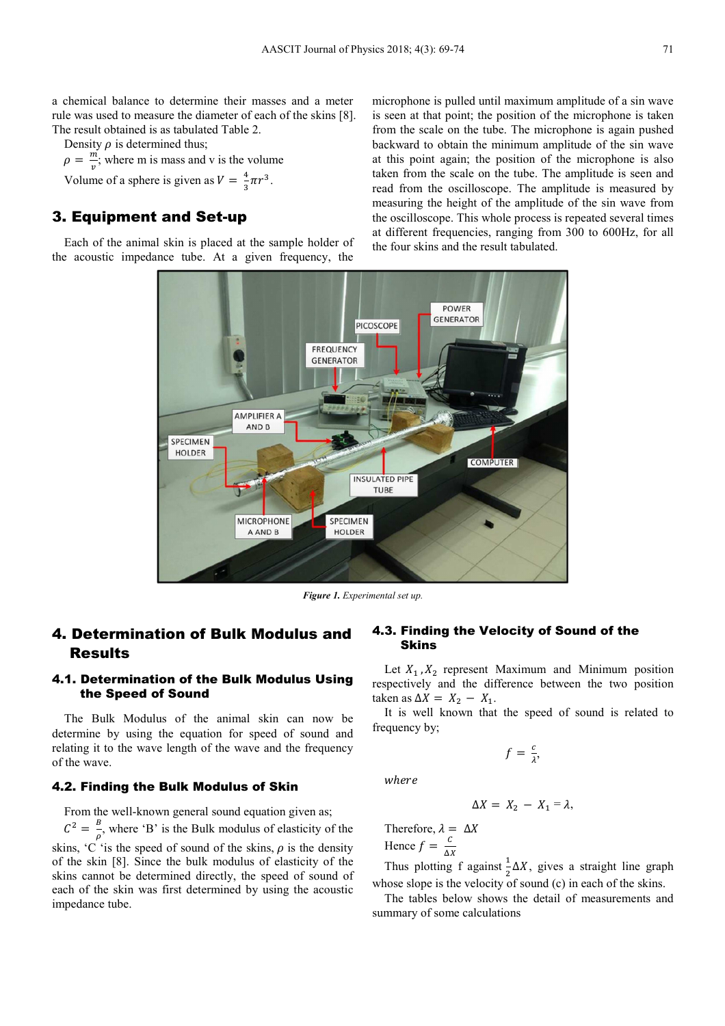a chemical balance to determine their masses and a meter rule was used to measure the diameter of each of the skins [8]. The result obtained is as tabulated Table 2.

Density  $\rho$  is determined thus;  $\rho = \frac{m}{n}$  $\frac{m}{v}$ ; where m is mass and v is the volume Volume of a sphere is given as  $V = \frac{4}{3}\pi r^3$ .

# 3. Equipment and Set-up

Each of the animal skin is placed at the sample holder of the acoustic impedance tube. At a given frequency, the

microphone is pulled until maximum amplitude of a sin wave is seen at that point; the position of the microphone is taken from the scale on the tube. The microphone is again pushed backward to obtain the minimum amplitude of the sin wave at this point again; the position of the microphone is also taken from the scale on the tube. The amplitude is seen and read from the oscilloscope. The amplitude is measured by measuring the height of the amplitude of the sin wave from the oscilloscope. This whole process is repeated several times at different frequencies, ranging from 300 to 600Hz, for all the four skins and the result tabulated.



*Figure 1. Experimental set up.* 

# 4. Determination of Bulk Modulus and Results

### 4.1. Determination of the Bulk Modulus Using the Speed of Sound

The Bulk Modulus of the animal skin can now be determine by using the equation for speed of sound and relating it to the wave length of the wave and the frequency of the wave.

### 4.2. Finding the Bulk Modulus of Skin

From the well-known general sound equation given as;

 $C^2 = \frac{B}{a}$  $\frac{1}{\rho}$ , where 'B' is the Bulk modulus of elasticity of the skins,  $\overline{C}$  'is the speed of sound of the skins,  $\rho$  is the density of the skin [8]. Since the bulk modulus of elasticity of the skins cannot be determined directly, the speed of sound of each of the skin was first determined by using the acoustic impedance tube.

### 4.3. Finding the Velocity of Sound of the Skins

Let  $X_1, X_2$  represent Maximum and Minimum position respectively and the difference between the two position taken as  $\Delta X = X_2 - X_1$ .

It is well known that the speed of sound is related to frequency by;

$$
f=\frac{c}{\lambda},
$$

where

$$
\Delta X = X_2 - X_1 = \lambda,
$$

Therefore,  $\lambda = \Delta X$ 

Hence  $f = \frac{c}{\Delta X}$ 

Thus plotting f against  $\frac{1}{2}\Delta X$ , gives a straight line graph whose slope is the velocity of sound (c) in each of the skins.

The tables below shows the detail of measurements and summary of some calculations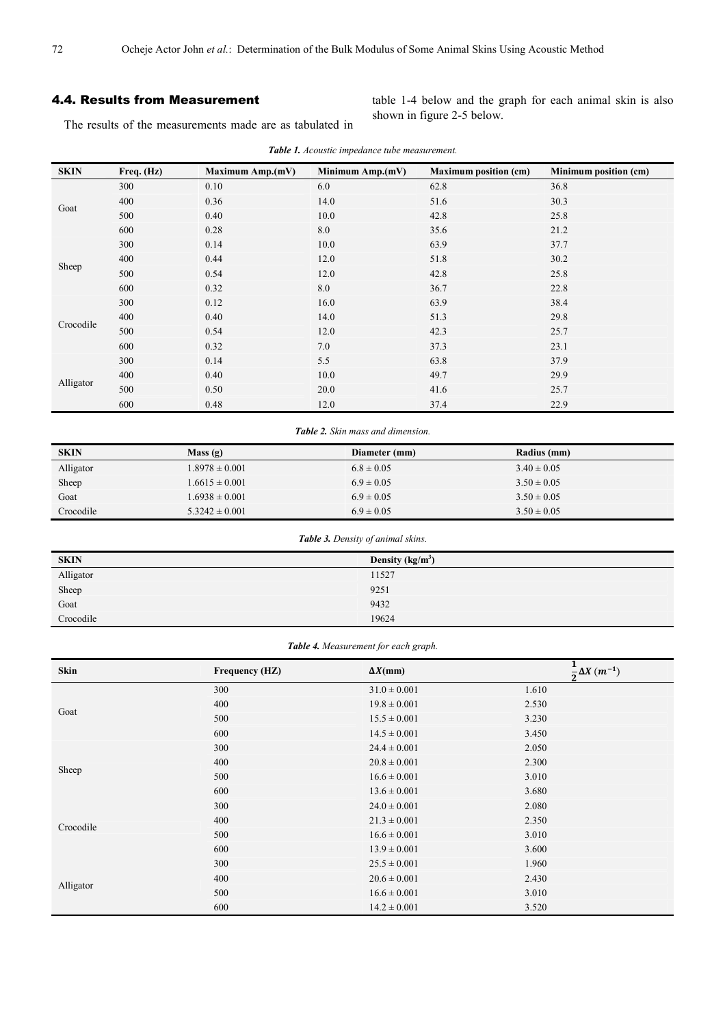### 4.4. Results from Measurement

The results of the measurements made are as tabulated in

table 1-4 below and the graph for each animal skin is also shown in figure 2-5 below.

| <b>SKIN</b> | Freq. (Hz) | <b>Maximum Amp.(mV)</b> | Minimum Amp.(mV)                                       | <b>Maximum position (cm)</b> | Minimum position (cm) |
|-------------|------------|-------------------------|--------------------------------------------------------|------------------------------|-----------------------|
| Goat        | 300        | 0.10                    | 6.0                                                    | 62.8                         | 36.8                  |
|             | 400        | 0.36                    | 14.0                                                   | 51.6                         | 30.3                  |
|             | 500        | 0.40                    | 10.0                                                   | 42.8                         | 25.8                  |
|             | 600        | 0.28                    | 8.0                                                    | 35.6                         | 21.2                  |
| Sheep       | 300        | 0.14                    | 10.0                                                   | 63.9                         | 37.7                  |
|             | 400        | 0.44                    | 12.0                                                   | 51.8                         | 30.2                  |
|             | 500        | 0.54                    | 12.0                                                   | 42.8                         | 25.8                  |
|             | 600        | 0.32                    | 8.0                                                    | 36.7                         | 22.8                  |
|             | 300        | 0.12                    | 16.0                                                   | 63.9                         | 38.4                  |
|             | 400        | 0.40                    | 14.0                                                   | 51.3                         | 29.8                  |
| Crocodile   | 500        | 0.54                    | 12.0                                                   | 42.3                         | 25.7                  |
|             | 600        | 0.32                    | 7.0                                                    | 37.3                         | 23.1                  |
| Alligator   | 300        | 0.14                    | 5.5                                                    | 63.8                         | 37.9                  |
|             | 400        | 0.40                    | 10.0                                                   | 49.7                         | 29.9                  |
|             | 500        | 0.50                    | 20.0                                                   | 41.6                         | 25.7                  |
|             | 600        | 0.48                    | 12.0                                                   | 37.4                         | 22.9                  |
|             |            |                         | $T_2$ <b>LLe</b> $\uparrow$ Claim management dimension |                              |                       |

*Table 1. Acoustic impedance tube measurement.* 

*Table 2. Skin mass and dimension.* 

| <b>SKIN</b> | Mass(g)            | Diameter (mm)  | Radius (mm)     |
|-------------|--------------------|----------------|-----------------|
| Alligator   | $1.8978 \pm 0.001$ | $6.8 \pm 0.05$ | $3.40 \pm 0.05$ |
| Sheep       | $1.6615 \pm 0.001$ | $6.9 \pm 0.05$ | $3.50 \pm 0.05$ |
| Goat        | $1.6938 \pm 0.001$ | $6.9 \pm 0.05$ | $3.50 \pm 0.05$ |
| Crocodile   | $5.3242 \pm 0.001$ | $6.9 \pm 0.05$ | $3.50 \pm 0.05$ |

| Table 3. Density of animal skins. |                   |  |
|-----------------------------------|-------------------|--|
| <b>SKIN</b>                       | Density $(kg/m3)$ |  |
| Alligator                         | 11527             |  |
| Sheep                             | 9251              |  |
| Goat                              | 9432              |  |
| Crocodile                         | 19624             |  |

*Table 4. Measurement for each graph.* 

| <b>Skin</b> | <b>Frequency (HZ)</b> | $\Delta X$ (mm)  | $\frac{1}{2}\Delta X(m^{-1})$ |
|-------------|-----------------------|------------------|-------------------------------|
|             | 300                   | $31.0 \pm 0.001$ | 1.610                         |
|             | 400                   | $19.8 \pm 0.001$ | 2.530                         |
| Goat        | 500                   | $15.5 \pm 0.001$ | 3.230                         |
|             | 600                   | $14.5 \pm 0.001$ | 3.450                         |
|             | 300                   | $24.4 \pm 0.001$ | 2.050                         |
|             | 400                   | $20.8 \pm 0.001$ | 2.300                         |
| Sheep       | 500                   | $16.6 \pm 0.001$ | 3.010                         |
|             | 600                   | $13.6 \pm 0.001$ | 3.680                         |
|             | 300                   | $24.0 \pm 0.001$ | 2.080                         |
| Crocodile   | 400                   | $21.3 \pm 0.001$ | 2.350                         |
|             | 500                   | $16.6 \pm 0.001$ | 3.010                         |
|             | 600                   | $13.9 \pm 0.001$ | 3.600                         |
|             | 300                   | $25.5 \pm 0.001$ | 1.960                         |
|             | 400                   | $20.6 \pm 0.001$ | 2.430                         |
| Alligator   | 500                   | $16.6 \pm 0.001$ | 3.010                         |
|             | 600                   | $14.2 \pm 0.001$ | 3.520                         |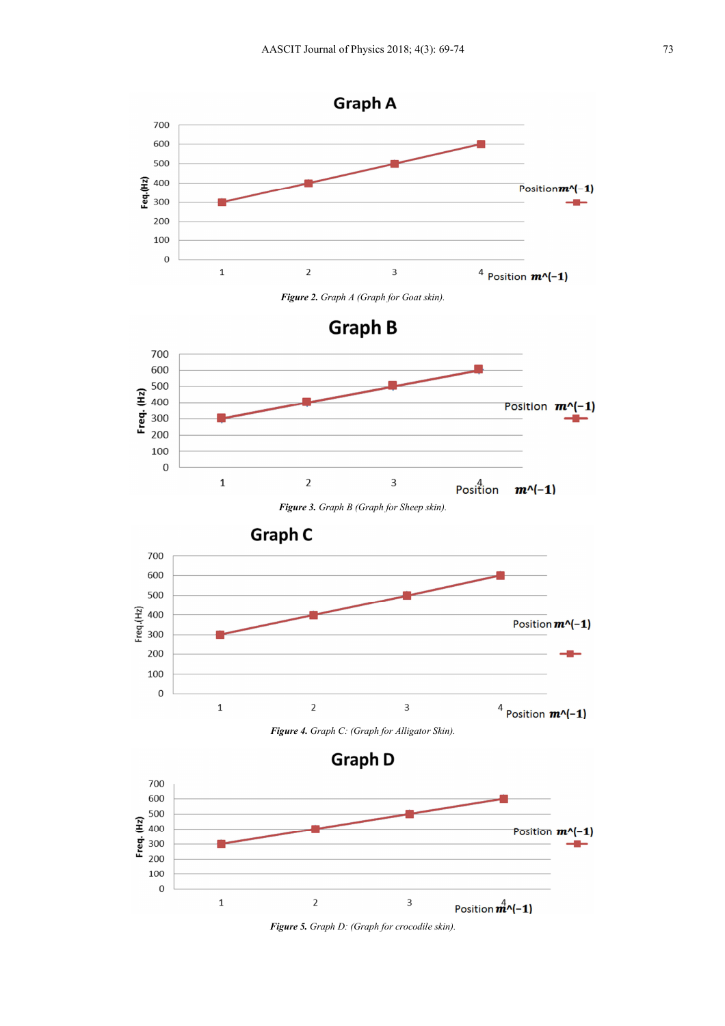